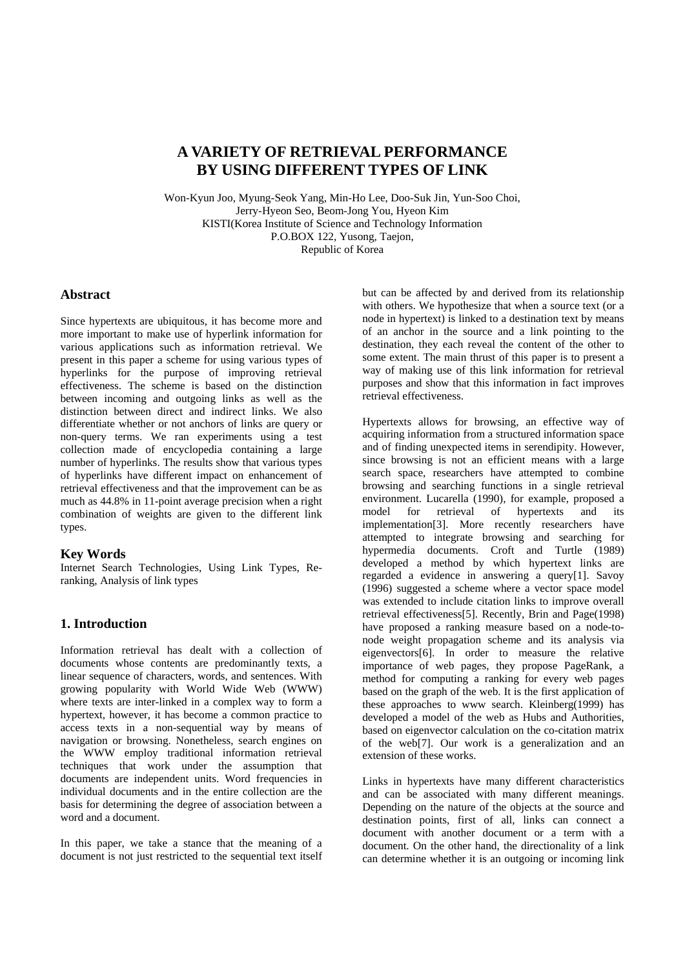# **A VARIETY OF RETRIEVAL PERFORMANCE BY USING DIFFERENT TYPES OF LINK**

Won-Kyun Joo, Myung-Seok Yang, Min-Ho Lee, Doo-Suk Jin, Yun-Soo Choi, Jerry-Hyeon Seo, Beom-Jong You, Hyeon Kim KISTI(Korea Institute of Science and Technology Information P.O.BOX 122, Yusong, Taejon, Republic of Korea

## **Abstract**

Since hypertexts are ubiquitous, it has become more and more important to make use of hyperlink information for various applications such as information retrieval. We present in this paper a scheme for using various types of hyperlinks for the purpose of improving retrieval effectiveness. The scheme is based on the distinction between incoming and outgoing links as well as the distinction between direct and indirect links. We also differentiate whether or not anchors of links are query or non-query terms. We ran experiments using a test collection made of encyclopedia containing a large number of hyperlinks. The results show that various types of hyperlinks have different impact on enhancement of retrieval effectiveness and that the improvement can be as much as 44.8% in 11-point average precision when a right combination of weights are given to the different link types.

#### **Key Words**

Internet Search Technologies, Using Link Types, Reranking, Analysis of link types

## **1. Introduction**

Information retrieval has dealt with a collection of documents whose contents are predominantly texts, a linear sequence of characters, words, and sentences. With growing popularity with World Wide Web (WWW) where texts are inter-linked in a complex way to form a hypertext, however, it has become a common practice to access texts in a non-sequential way by means of navigation or browsing. Nonetheless, search engines on the WWW employ traditional information retrieval techniques that work under the assumption that documents are independent units. Word frequencies in individual documents and in the entire collection are the basis for determining the degree of association between a word and a document.

In this paper, we take a stance that the meaning of a document is not just restricted to the sequential text itself but can be affected by and derived from its relationship with others. We hypothesize that when a source text (or a node in hypertext) is linked to a destination text by means of an anchor in the source and a link pointing to the destination, they each reveal the content of the other to some extent. The main thrust of this paper is to present a way of making use of this link information for retrieval purposes and show that this information in fact improves retrieval effectiveness.

Hypertexts allows for browsing, an effective way of acquiring information from a structured information space and of finding unexpected items in serendipity. However, since browsing is not an efficient means with a large search space, researchers have attempted to combine browsing and searching functions in a single retrieval environment. Lucarella (1990), for example, proposed a model for retrieval of hypertexts and its model for retrieval of hypertexts and its implementation[3]. More recently researchers have attempted to integrate browsing and searching for hypermedia documents. Croft and Turtle (1989) developed a method by which hypertext links are regarded a evidence in answering a query[1]. Savoy (1996) suggested a scheme where a vector space model was extended to include citation links to improve overall retrieval effectiveness[5]. Recently, Brin and Page(1998) have proposed a ranking measure based on a node-tonode weight propagation scheme and its analysis via eigenvectors[6]. In order to measure the relative importance of web pages, they propose PageRank, a method for computing a ranking for every web pages based on the graph of the web. It is the first application of these approaches to www search. Kleinberg(1999) has developed a model of the web as Hubs and Authorities, based on eigenvector calculation on the co-citation matrix of the web[7]. Our work is a generalization and an extension of these works.

Links in hypertexts have many different characteristics and can be associated with many different meanings. Depending on the nature of the objects at the source and destination points, first of all, links can connect a document with another document or a term with a document. On the other hand, the directionality of a link can determine whether it is an outgoing or incoming link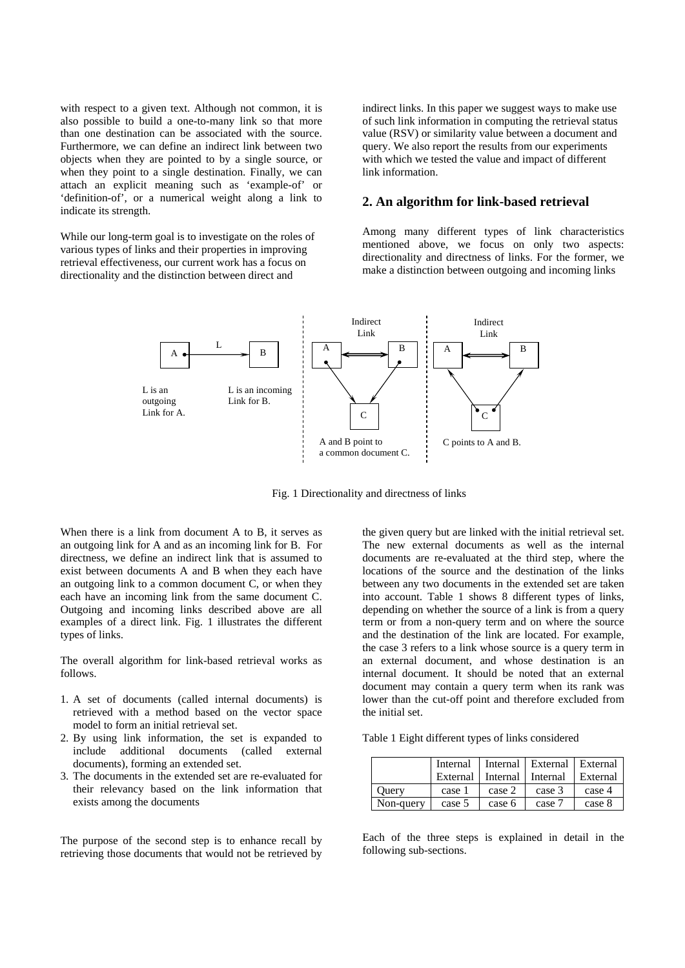with respect to a given text. Although not common, it is also possible to build a one-to-many link so that more than one destination can be associated with the source. Furthermore, we can define an indirect link between two objects when they are pointed to by a single source, or when they point to a single destination. Finally, we can attach an explicit meaning such as 'example-of' or 'definition-of', or a numerical weight along a link to indicate its strength.

While our long-term goal is to investigate on the roles of various types of links and their properties in improving retrieval effectiveness, our current work has a focus on directionality and the distinction between direct and

indirect links. In this paper we suggest ways to make use of such link information in computing the retrieval status value (RSV) or similarity value between a document and query. We also report the results from our experiments with which we tested the value and impact of different link information.

#### **2. An algorithm for link-based retrieval**

Among many different types of link characteristics mentioned above, we focus on only two aspects: directionality and directness of links. For the former, we make a distinction between outgoing and incoming links



Fig. 1 Directionality and directness of links

When there is a link from document A to B, it serves as an outgoing link for A and as an incoming link for B. For directness, we define an indirect link that is assumed to exist between documents A and B when they each have an outgoing link to a common document C, or when they each have an incoming link from the same document C. Outgoing and incoming links described above are all examples of a direct link. Fig. 1 illustrates the different types of links.

The overall algorithm for link-based retrieval works as follows.

- 1. A set of documents (called internal documents) is retrieved with a method based on the vector space model to form an initial retrieval set.
- 2. By using link information, the set is expanded to include additional documents (called external documents), forming an extended set.
- 3. The documents in the extended set are re-evaluated for their relevancy based on the link information that exists among the documents

The purpose of the second step is to enhance recall by retrieving those documents that would not be retrieved by

the given query but are linked with the initial retrieval set. The new external documents as well as the internal documents are re-evaluated at the third step, where the locations of the source and the destination of the links between any two documents in the extended set are taken into account. Table 1 shows 8 different types of links, depending on whether the source of a link is from a query term or from a non-query term and on where the source and the destination of the link are located. For example, the case 3 refers to a link whose source is a query term in an external document, and whose destination is an internal document. It should be noted that an external document may contain a query term when its rank was lower than the cut-off point and therefore excluded from the initial set.

Table 1 Eight different types of links considered

|           | Internal |                     | Internal   External   External |          |
|-----------|----------|---------------------|--------------------------------|----------|
|           | External | Internal   Internal |                                | External |
| Ouerv     | case 1   | case 2              | case 3                         | case 4   |
| Non-query | case 5   | case 6              | case 7                         | case 8   |

Each of the three steps is explained in detail in the following sub-sections.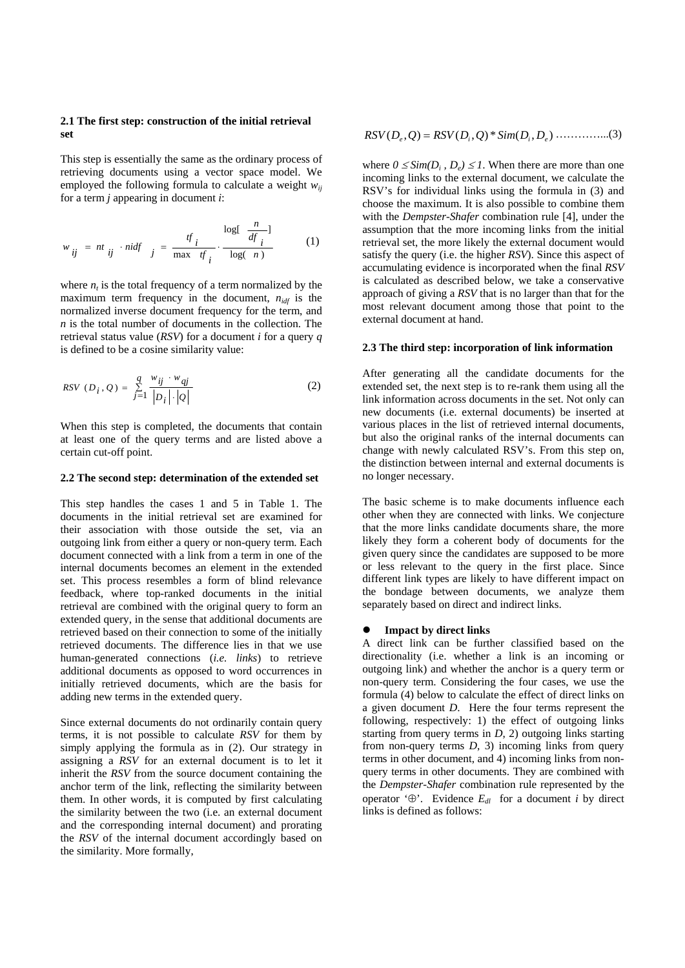#### **2.1 The first step: construction of the initial retrieval set**

This step is essentially the same as the ordinary process of retrieving documents using a vector space model. We employed the following formula to calculate a weight  $w_{ii}$ for a term *j* appearing in document *i*:

$$
w_{ij} = nt_{ij} \cdot nidf_{j} = \frac{tf_{i}}{\max tf_{i}} \cdot \frac{\log[\frac{n}{df_{i}}]}{\log(\frac{n}{n})}
$$
 (1)

where  $n_t$  is the total frequency of a term normalized by the maximum term frequency in the document,  $n_{\text{idf}}$  is the normalized inverse document frequency for the term, and *n* is the total number of documents in the collection. The retrieval status value (*RSV*) for a document *i* for a query *q* is defined to be a cosine similarity value:

$$
RSV (D_i, Q) = \sum_{j=1}^{q} \frac{w_{ij} \cdot w_{qj}}{|D_i| \cdot |Q|}
$$
 (2)

When this step is completed, the documents that contain at least one of the query terms and are listed above a certain cut-off point.

#### **2.2 The second step: determination of the extended set**

This step handles the cases 1 and 5 in Table 1. The documents in the initial retrieval set are examined for their association with those outside the set, via an outgoing link from either a query or non-query term. Each document connected with a link from a term in one of the internal documents becomes an element in the extended set. This process resembles a form of blind relevance feedback, where top-ranked documents in the initial retrieval are combined with the original query to form an extended query, in the sense that additional documents are retrieved based on their connection to some of the initially retrieved documents. The difference lies in that we use human-generated connections (*i.e. links*) to retrieve additional documents as opposed to word occurrences in initially retrieved documents, which are the basis for adding new terms in the extended query.

Since external documents do not ordinarily contain query terms, it is not possible to calculate *RSV* for them by simply applying the formula as in (2). Our strategy in assigning a *RSV* for an external document is to let it inherit the *RSV* from the source document containing the anchor term of the link, reflecting the similarity between them. In other words, it is computed by first calculating the similarity between the two (i.e. an external document and the corresponding internal document) and prorating the *RSV* of the internal document accordingly based on the similarity. More formally,

$$
RSV(D_e, Q) = RSV(D_i, Q) * Sim(D_i, D_e) \cdot \dots \cdot \dots \cdot (3)
$$

where  $0 \leq Sim(D_i, D_e) \leq 1$ . When there are more than one incoming links to the external document, we calculate the RSV's for individual links using the formula in (3) and choose the maximum. It is also possible to combine them with the *Dempster-Shafer* combination rule [4], under the assumption that the more incoming links from the initial retrieval set, the more likely the external document would satisfy the query (i.e. the higher *RSV*). Since this aspect of accumulating evidence is incorporated when the final *RSV* is calculated as described below, we take a conservative approach of giving a *RSV* that is no larger than that for the most relevant document among those that point to the external document at hand.

#### **2.3 The third step: incorporation of link information**

After generating all the candidate documents for the extended set, the next step is to re-rank them using all the link information across documents in the set. Not only can new documents (i.e. external documents) be inserted at various places in the list of retrieved internal documents, but also the original ranks of the internal documents can change with newly calculated RSV's. From this step on, the distinction between internal and external documents is no longer necessary.

The basic scheme is to make documents influence each other when they are connected with links. We conjecture that the more links candidate documents share, the more likely they form a coherent body of documents for the given query since the candidates are supposed to be more or less relevant to the query in the first place. Since different link types are likely to have different impact on the bondage between documents, we analyze them separately based on direct and indirect links.

#### z **Impact by direct links**

A direct link can be further classified based on the directionality (i.e. whether a link is an incoming or outgoing link) and whether the anchor is a query term or non-query term. Considering the four cases, we use the formula (4) below to calculate the effect of direct links on a given document *D*. Here the four terms represent the following, respectively: 1) the effect of outgoing links starting from query terms in *D*, 2) outgoing links starting from non-query terms *D*, 3) incoming links from query terms in other document, and 4) incoming links from nonquery terms in other documents. They are combined with the *Dempster-Shafer* combination rule represented by the operator '⊕'. Evidence  $E_{dl}$  for a document *i* by direct links is defined as follows: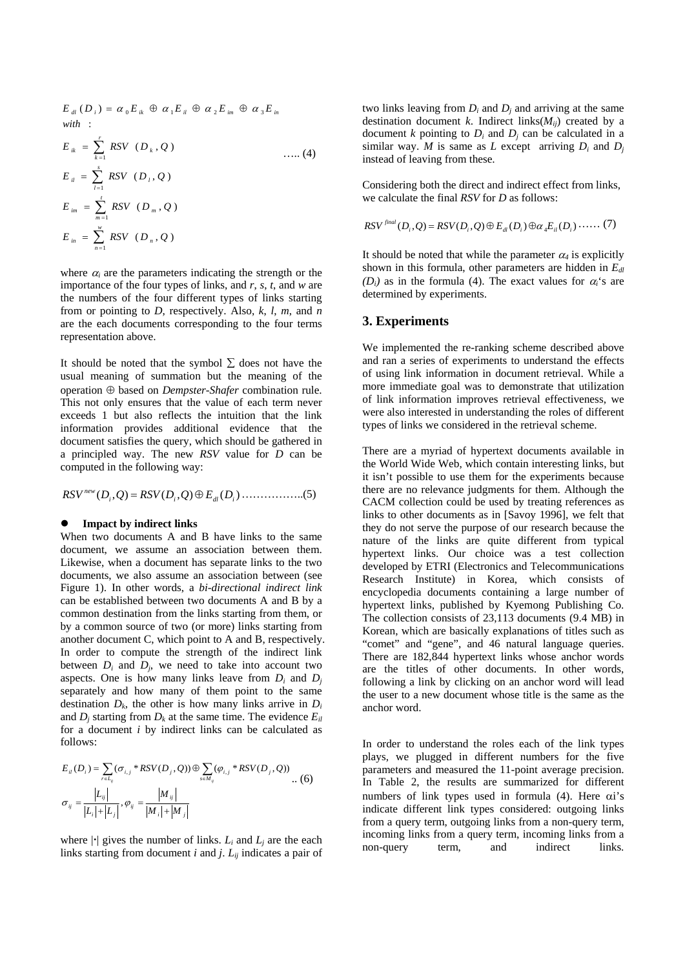$$
E_{dl} (D_i) = \alpha_0 E_{ik} \oplus \alpha_1 E_{il} \oplus \alpha_2 E_{im} \oplus \alpha_3 E_{in}
$$
  
\nwith:  
\n
$$
E_{ik} = \sum_{k=1}^{r} RSV (D_k, Q)
$$
 ......(4)  
\n
$$
E_{il} = \sum_{l=1}^{s} RSV (D_l, Q)
$$
 ......(4)  
\n
$$
E_{im} = \sum_{m=1}^{r} RSV (D_m, Q)
$$
  
\n
$$
E_{im} = \sum_{n=1}^{w} RSV (D_n, Q)
$$

where  $\alpha_i$  are the parameters indicating the strength or the importance of the four types of links, and *r*, *s*, *t*, and *w* are the numbers of the four different types of links starting from or pointing to *D*, respectively. Also, *k*, *l*, *m*, and *n* are the each documents corresponding to the four terms representation above.

It should be noted that the symbol  $\Sigma$  does not have the usual meaning of summation but the meaning of the operation ⊕ based on *Dempster-Shafer* combination rule. This not only ensures that the value of each term never exceeds 1 but also reflects the intuition that the link information provides additional evidence that the document satisfies the query, which should be gathered in a principled way. The new *RSV* value for *D* can be computed in the following way:

 $RSV^{new}(D_i, Q) = RSV(D_i, Q) \oplus E_{dl}(D_i) \dots (5)$ 

#### **Impact by indirect links**

When two documents A and B have links to the same document, we assume an association between them. Likewise, when a document has separate links to the two documents, we also assume an association between (see Figure 1). In other words, a *bi-directional indirect link* can be established between two documents A and B by a common destination from the links starting from them, or by a common source of two (or more) links starting from another document C, which point to A and B, respectively. In order to compute the strength of the indirect link between  $D_i$  and  $D_j$ , we need to take into account two aspects. One is how many links leave from  $D_i$  and  $D_j$ separately and how many of them point to the same destination  $D_k$ , the other is how many links arrive in  $D_i$ and  $D_i$  starting from  $D_k$  at the same time. The evidence  $E_{il}$ for a document *i* by indirect links can be calculated as follows:

$$
E_{ii}(D_i) = \sum_{rel_{ij}} (\sigma_{i,j} * RSV(D_j, Q)) \oplus \sum_{s \in M_{ij}} (\varphi_{i,j} * RSV(D_j, Q))
$$
  

$$
\sigma_{ij} = \frac{|L_{ij}|}{|L_i| + |L_j|}, \varphi_{ij} = \frac{|M_{ij}|}{|M_i| + |M_j|}
$$
 (6)

where  $|\cdot|$  gives the number of links.  $L_i$  and  $L_j$  are the each links starting from document *i* and *j*. *Lij* indicates a pair of two links leaving from  $D_i$  and  $D_j$  and arriving at the same destination document *k*. Indirect links( $M_{ii}$ ) created by a document  $k$  pointing to  $D_i$  and  $D_j$  can be calculated in a similar way. *M* is same as *L* except arriving  $D_i$  and  $D_j$ instead of leaving from these.

Considering both the direct and indirect effect from links, we calculate the final *RSV* for *D* as follows:

$$
RSV^{final}(D_i, Q) = RSV(D_i, Q) \oplus E_{dl}(D_i) \oplus \alpha_4 E_{il}(D_i) \cdots (7)
$$

It should be noted that while the parameter  $\alpha_4$  is explicitly shown in this formula, other parameters are hidden in  $E<sub>dl</sub>$  $(D_i)$  as in the formula (4). The exact values for  $\alpha_i$ 's are determined by experiments.

## **3. Experiments**

We implemented the re-ranking scheme described above and ran a series of experiments to understand the effects of using link information in document retrieval. While a more immediate goal was to demonstrate that utilization of link information improves retrieval effectiveness, we were also interested in understanding the roles of different types of links we considered in the retrieval scheme.

There are a myriad of hypertext documents available in the World Wide Web, which contain interesting links, but it isn't possible to use them for the experiments because there are no relevance judgments for them. Although the CACM collection could be used by treating references as links to other documents as in [Savoy 1996], we felt that they do not serve the purpose of our research because the nature of the links are quite different from typical hypertext links. Our choice was a test collection developed by ETRI (Electronics and Telecommunications Research Institute) in Korea, which consists of encyclopedia documents containing a large number of hypertext links, published by Kyemong Publishing Co. The collection consists of 23,113 documents (9.4 MB) in Korean, which are basically explanations of titles such as "comet" and "gene", and 46 natural language queries. There are 182,844 hypertext links whose anchor words are the titles of other documents. In other words, following a link by clicking on an anchor word will lead the user to a new document whose title is the same as the anchor word.

In order to understand the roles each of the link types plays, we plugged in different numbers for the five parameters and measured the 11-point average precision. In Table 2, the results are summarized for different numbers of link types used in formula (4). Here αi's indicate different link types considered: outgoing links from a query term, outgoing links from a non-query term, incoming links from a query term, incoming links from a non-query term, and indirect links.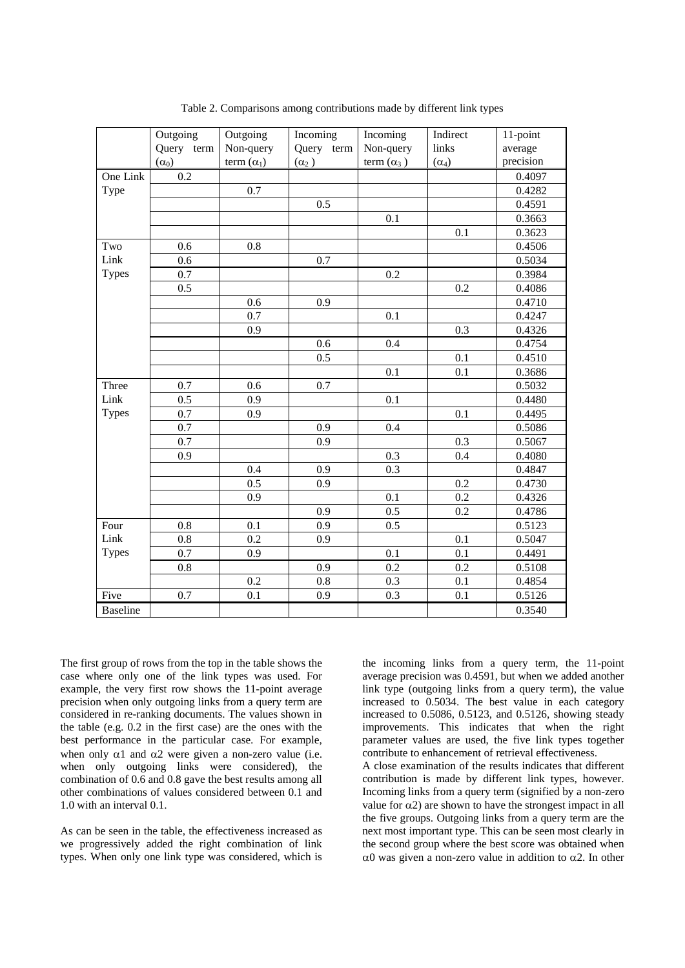|                 | Outgoing<br>Query term | Outgoing<br>Non-query | Incoming<br>Query term | Incoming<br>Non-query | Indirect<br>links | 11-point<br>average |
|-----------------|------------------------|-----------------------|------------------------|-----------------------|-------------------|---------------------|
|                 | $(\alpha_0)$           | term $(\alpha_1)$     | $(\alpha_2)$           | term $(\alpha_3)$     | $(\alpha_4)$      | precision           |
| One Link        | $\overline{0.2}$       |                       |                        |                       |                   | 0.4097              |
| Type            |                        | 0.7                   |                        |                       |                   | 0.4282              |
|                 |                        |                       | 0.5                    |                       |                   | 0.4591              |
|                 |                        |                       |                        | 0.1                   |                   | 0.3663              |
|                 |                        |                       |                        |                       | 0.1               | 0.3623              |
| Two             | 0.6                    | 0.8                   |                        |                       |                   | 0.4506              |
| Link            | 0.6                    |                       | 0.7                    |                       |                   | 0.5034              |
| <b>Types</b>    | 0.7                    |                       |                        | 0.2                   |                   | 0.3984              |
|                 | 0.5                    |                       |                        |                       | 0.2               | 0.4086              |
|                 |                        | 0.6                   | 0.9                    |                       |                   | 0.4710              |
|                 |                        | 0.7                   |                        | 0.1                   |                   | 0.4247              |
|                 |                        | 0.9                   |                        |                       | 0.3               | 0.4326              |
|                 |                        |                       | 0.6                    | 0.4                   |                   | 0.4754              |
|                 |                        |                       | 0.5                    |                       | 0.1               | 0.4510              |
|                 |                        |                       |                        | 0.1                   | 0.1               | 0.3686              |
| Three           | 0.7                    | 0.6                   | 0.7                    |                       |                   | 0.5032              |
| Link            | 0.5                    | 0.9                   |                        | 0.1                   |                   | 0.4480              |
| <b>Types</b>    | 0.7                    | 0.9                   |                        |                       | 0.1               | 0.4495              |
|                 | $\overline{0.7}$       |                       | 0.9                    | 0.4                   |                   | 0.5086              |
|                 | 0.7                    |                       | 0.9                    |                       | 0.3               | 0.5067              |
|                 | 0.9                    |                       |                        | 0.3                   | 0.4               | 0.4080              |
|                 |                        | 0.4                   | 0.9                    | 0.3                   |                   | 0.4847              |
|                 |                        | 0.5                   | 0.9                    |                       | 0.2               | 0.4730              |
|                 |                        | 0.9                   |                        | 0.1                   | 0.2               | 0.4326              |
|                 |                        |                       | 0.9                    | 0.5                   | 0.2               | 0.4786              |
| Four            | 0.8                    | 0.1                   | 0.9                    | 0.5                   |                   | 0.5123              |
| Link            | $0.8\,$                | 0.2                   | 0.9                    |                       | 0.1               | 0.5047              |
| <b>Types</b>    | 0.7                    | 0.9                   |                        | 0.1                   | 0.1               | 0.4491              |
|                 | 0.8                    |                       | 0.9                    | 0.2                   | 0.2               | 0.5108              |
|                 |                        | 0.2                   | $0.8\,$                | 0.3                   | 0.1               | 0.4854              |
| Five            | 0.7                    | 0.1                   | 0.9                    | 0.3                   | 0.1               | 0.5126              |
| <b>Baseline</b> |                        |                       |                        |                       |                   | 0.3540              |

Table 2. Comparisons among contributions made by different link types

The first group of rows from the top in the table shows the case where only one of the link types was used. For example, the very first row shows the 11-point average precision when only outgoing links from a query term are considered in re-ranking documents. The values shown in the table (e.g. 0.2 in the first case) are the ones with the best performance in the particular case. For example, when only  $\alpha$ 1 and  $\alpha$ 2 were given a non-zero value (i.e. when only outgoing links were considered), the combination of 0.6 and 0.8 gave the best results among all other combinations of values considered between 0.1 and 1.0 with an interval 0.1.

As can be seen in the table, the effectiveness increased as we progressively added the right combination of link types. When only one link type was considered, which is

the incoming links from a query term, the 11-point average precision was 0.4591, but when we added another link type (outgoing links from a query term), the value increased to 0.5034. The best value in each category increased to 0.5086, 0.5123, and 0.5126, showing steady improvements. This indicates that when the right parameter values are used, the five link types together contribute to enhancement of retrieval effectiveness. A close examination of the results indicates that different contribution is made by different link types, however. Incoming links from a query term (signified by a non-zero value for  $\alpha$ 2) are shown to have the strongest impact in all the five groups. Outgoing links from a query term are the next most important type. This can be seen most clearly in the second group where the best score was obtained when α0 was given a non-zero value in addition to α2. In other